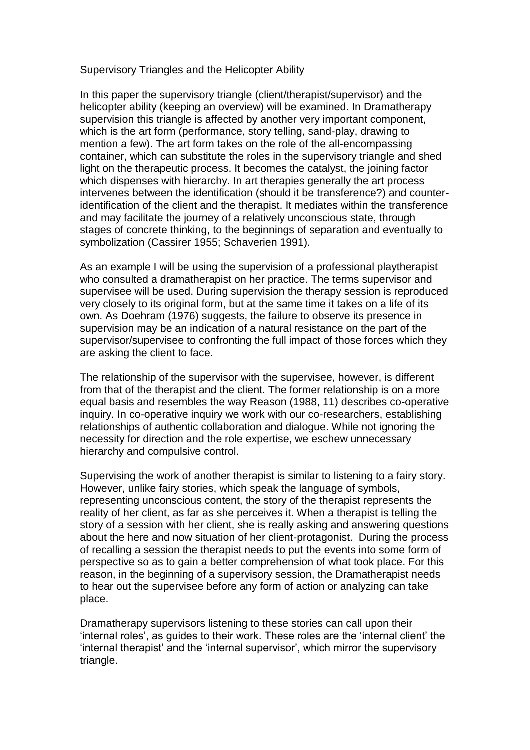Supervisory Triangles and the Helicopter Ability

In this paper the supervisory triangle (client/therapist/supervisor) and the helicopter ability (keeping an overview) will be examined. In Dramatherapy supervision this triangle is affected by another very important component, which is the art form (performance, story telling, sand-play, drawing to mention a few). The art form takes on the role of the all-encompassing container, which can substitute the roles in the supervisory triangle and shed light on the therapeutic process. It becomes the catalyst, the joining factor which dispenses with hierarchy. In art therapies generally the art process intervenes between the identification (should it be transference?) and counteridentification of the client and the therapist. It mediates within the transference and may facilitate the journey of a relatively unconscious state, through stages of concrete thinking, to the beginnings of separation and eventually to symbolization (Cassirer 1955; Schaverien 1991).

As an example I will be using the supervision of a professional playtherapist who consulted a dramatherapist on her practice. The terms supervisor and supervisee will be used. During supervision the therapy session is reproduced very closely to its original form, but at the same time it takes on a life of its own. As Doehram (1976) suggests, the failure to observe its presence in supervision may be an indication of a natural resistance on the part of the supervisor/supervisee to confronting the full impact of those forces which they are asking the client to face.

The relationship of the supervisor with the supervisee, however, is different from that of the therapist and the client. The former relationship is on a more equal basis and resembles the way Reason (1988, 11) describes co-operative inquiry. In co-operative inquiry we work with our co-researchers, establishing relationships of authentic collaboration and dialogue. While not ignoring the necessity for direction and the role expertise, we eschew unnecessary hierarchy and compulsive control.

Supervising the work of another therapist is similar to listening to a fairy story. However, unlike fairy stories, which speak the language of symbols, representing unconscious content, the story of the therapist represents the reality of her client, as far as she perceives it. When a therapist is telling the story of a session with her client, she is really asking and answering questions about the here and now situation of her client-protagonist. During the process of recalling a session the therapist needs to put the events into some form of perspective so as to gain a better comprehension of what took place. For this reason, in the beginning of a supervisory session, the Dramatherapist needs to hear out the supervisee before any form of action or analyzing can take place.

Dramatherapy supervisors listening to these stories can call upon their 'internal roles', as guides to their work. These roles are the 'internal client' the 'internal therapist' and the 'internal supervisor', which mirror the supervisory triangle.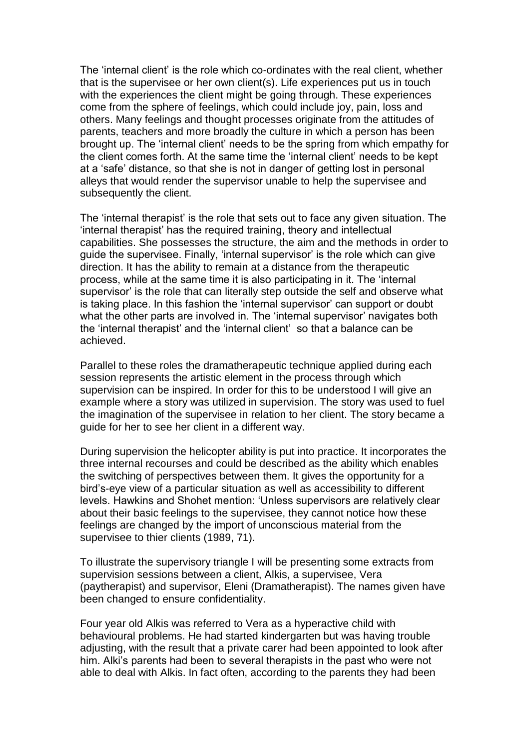The 'internal client' is the role which co-ordinates with the real client, whether that is the supervisee or her own client(s). Life experiences put us in touch with the experiences the client might be going through. These experiences come from the sphere of feelings, which could include joy, pain, loss and others. Many feelings and thought processes originate from the attitudes of parents, teachers and more broadly the culture in which a person has been brought up. The 'internal client' needs to be the spring from which empathy for the client comes forth. At the same time the 'internal client' needs to be kept at a 'safe' distance, so that she is not in danger of getting lost in personal alleys that would render the supervisor unable to help the supervisee and subsequently the client.

The 'internal therapist' is the role that sets out to face any given situation. The 'internal therapist' has the required training, theory and intellectual capabilities. She possesses the structure, the aim and the methods in order to guide the supervisee. Finally, 'internal supervisor' is the role which can give direction. It has the ability to remain at a distance from the therapeutic process, while at the same time it is also participating in it. The 'internal supervisor' is the role that can literally step outside the self and observe what is taking place. In this fashion the 'internal supervisor' can support or doubt what the other parts are involved in. The 'internal supervisor' navigates both the 'internal therapist' and the 'internal client' so that a balance can be achieved.

Parallel to these roles the dramatherapeutic technique applied during each session represents the artistic element in the process through which supervision can be inspired. In order for this to be understood I will give an example where a story was utilized in supervision. The story was used to fuel the imagination of the supervisee in relation to her client. The story became a guide for her to see her client in a different way.

During supervision the helicopter ability is put into practice. It incorporates the three internal recourses and could be described as the ability which enables the switching of perspectives between them. It gives the opportunity for a bird's-eye view of a particular situation as well as accessibility to different levels. Hawkins and Shohet mention: 'Unless supervisors are relatively clear about their basic feelings to the supervisee, they cannot notice how these feelings are changed by the import of unconscious material from the supervisee to thier clients (1989, 71).

To illustrate the supervisory triangle I will be presenting some extracts from supervision sessions between a client, Alkis, a supervisee, Vera (paytherapist) and supervisor, Eleni (Dramatherapist). The names given have been changed to ensure confidentiality.

Four year old Alkis was referred to Vera as a hyperactive child with behavioural problems. He had started kindergarten but was having trouble adjusting, with the result that a private carer had been appointed to look after him. Alki's parents had been to several therapists in the past who were not able to deal with Alkis. In fact often, according to the parents they had been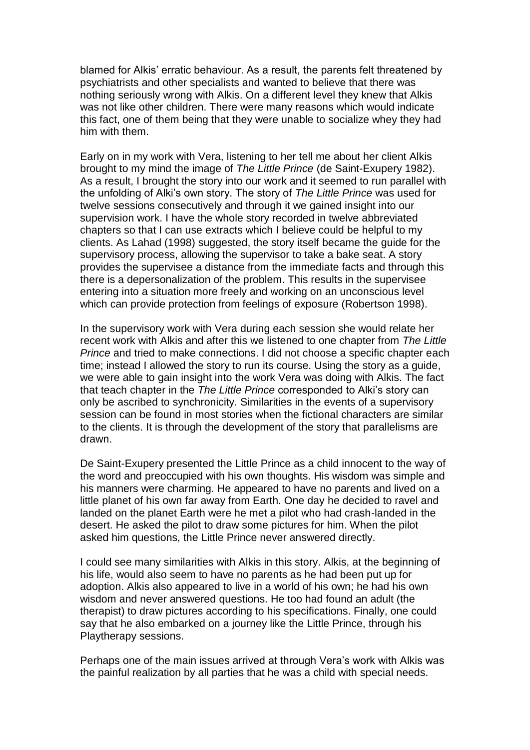blamed for Alkis' erratic behaviour. As a result, the parents felt threatened by psychiatrists and other specialists and wanted to believe that there was nothing seriously wrong with Alkis. On a different level they knew that Alkis was not like other children. There were many reasons which would indicate this fact, one of them being that they were unable to socialize whey they had him with them.

Early on in my work with Vera, listening to her tell me about her client Alkis brought to my mind the image of *The Little Prince* (de Saint-Exupery 1982). As a result, I brought the story into our work and it seemed to run parallel with the unfolding of Alki's own story. The story of *The Little Prince* was used for twelve sessions consecutively and through it we gained insight into our supervision work. I have the whole story recorded in twelve abbreviated chapters so that I can use extracts which I believe could be helpful to my clients. As Lahad (1998) suggested, the story itself became the guide for the supervisory process, allowing the supervisor to take a bake seat. A story provides the supervisee a distance from the immediate facts and through this there is a depersonalization of the problem. This results in the supervisee entering into a situation more freely and working on an unconscious level which can provide protection from feelings of exposure (Robertson 1998).

In the supervisory work with Vera during each session she would relate her recent work with Alkis and after this we listened to one chapter from *The Little Prince* and tried to make connections. I did not choose a specific chapter each time; instead I allowed the story to run its course. Using the story as a guide, we were able to gain insight into the work Vera was doing with Alkis. The fact that teach chapter in the *The Little Prince* corresponded to Alki's story can only be ascribed to synchronicity. Similarities in the events of a supervisory session can be found in most stories when the fictional characters are similar to the clients. It is through the development of the story that parallelisms are drawn.

De Saint-Exupery presented the Little Prince as a child innocent to the way of the word and preoccupied with his own thoughts. His wisdom was simple and his manners were charming. He appeared to have no parents and lived on a little planet of his own far away from Earth. One day he decided to ravel and landed on the planet Earth were he met a pilot who had crash-landed in the desert. He asked the pilot to draw some pictures for him. When the pilot asked him questions, the Little Prince never answered directly.

I could see many similarities with Alkis in this story. Alkis, at the beginning of his life, would also seem to have no parents as he had been put up for adoption. Alkis also appeared to live in a world of his own; he had his own wisdom and never answered questions. He too had found an adult (the therapist) to draw pictures according to his specifications. Finally, one could say that he also embarked on a journey like the Little Prince, through his Playtherapy sessions.

Perhaps one of the main issues arrived at through Vera's work with Alkis was the painful realization by all parties that he was a child with special needs.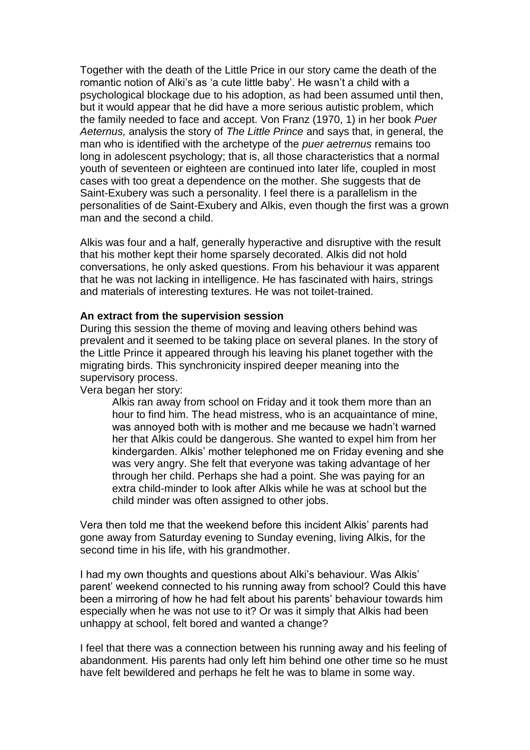Together with the death of the Little Price in our story came the death of the romantic notion of Alki's as 'a cute little baby'. He wasn't a child with a psychological blockage due to his adoption, as had been assumed until then, but it would appear that he did have a more serious autistic problem, which the family needed to face and accept. Von Franz (1970, 1) in her book *Puer Aeternus,* analysis the story of *The Little Prince* and says that, in general, the man who is identified with the archetype of the *puer aetrernus* remains too long in adolescent psychology; that is, all those characteristics that a normal youth of seventeen or eighteen are continued into later life, coupled in most cases with too great a dependence on the mother. She suggests that de Saint-Exubery was such a personality. I feel there is a parallelism in the personalities of de Saint-Exubery and Alkis, even though the first was a grown man and the second a child.

Alkis was four and a half, generally hyperactive and disruptive with the result that his mother kept their home sparsely decorated. Alkis did not hold conversations, he only asked questions. From his behaviour it was apparent that he was not lacking in intelligence. He has fascinated with hairs, strings and materials of interesting textures. He was not toilet-trained.

## **An extract from the supervision session**

During this session the theme of moving and leaving others behind was prevalent and it seemed to be taking place on several planes. In the story of the Little Prince it appeared through his leaving his planet together with the migrating birds. This synchronicity inspired deeper meaning into the supervisory process.

Vera began her story:

Alkis ran away from school on Friday and it took them more than an hour to find him. The head mistress, who is an acquaintance of mine, was annoyed both with is mother and me because we hadn't warned her that Alkis could be dangerous. She wanted to expel him from her kindergarden. Alkis' mother telephoned me on Friday evening and she was very angry. She felt that everyone was taking advantage of her through her child. Perhaps she had a point. She was paying for an extra child-minder to look after Alkis while he was at school but the child minder was often assigned to other jobs.

Vera then told me that the weekend before this incident Alkis' parents had gone away from Saturday evening to Sunday evening, living Alkis, for the second time in his life, with his grandmother.

I had my own thoughts and questions about Alki's behaviour. Was Alkis' parent' weekend connected to his running away from school? Could this have been a mirroring of how he had felt about his parents' behaviour towards him especially when he was not use to it? Or was it simply that Alkis had been unhappy at school, felt bored and wanted a change?

I feel that there was a connection between his running away and his feeling of abandonment. His parents had only left him behind one other time so he must have felt bewildered and perhaps he felt he was to blame in some way.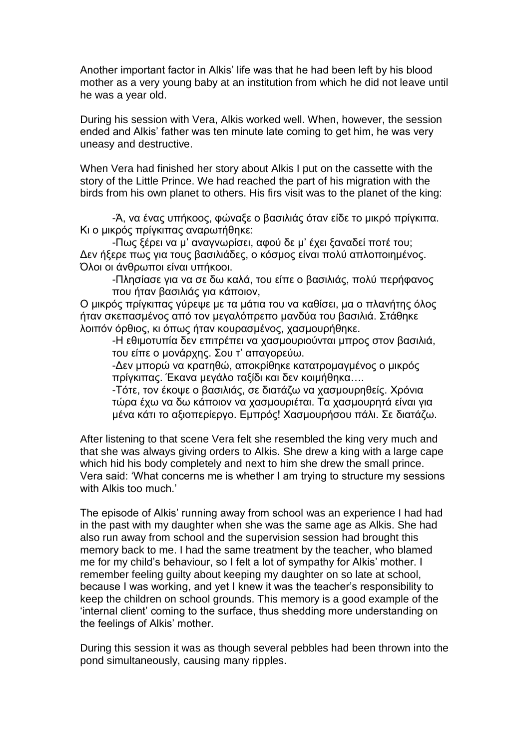Another important factor in Alkis' life was that he had been left by his blood mother as a very young baby at an institution from which he did not leave until he was a year old.

During his session with Vera, Alkis worked well. When, however, the session ended and Alkis' father was ten minute late coming to get him, he was very uneasy and destructive.

When Vera had finished her story about Alkis I put on the cassette with the story of the Little Prince. We had reached the part of his migration with the birds from his own planet to others. His firs visit was to the planet of the king:

-Ά, να ένας υπήκοος, φώναξε ο βασιλιάς όταν είδε το μικρό πρίγκιπα. Κι ο μικρός πρίγκιπας αναρωτήθηκε:

-Πως ξέρει να μ' αναγνωρίσει, αφού δε μ' έχει ξαναδεί ποτέ του; Δεν ήξερε πως για τους βασιλιάδες, ο κόσμος είναι πολύ απλοποιημένος. Όλοι οι άνθρωποι είναι υπήκοοι.

-Πλησίασε για να σε δω καλά, του είπε ο βασιλιάς, πολύ περήφανος που ήταν βασιλιάς για κάποιον,

Ο μικρός πρίγκιπας γύρεψε με τα μάτια του να καθίσει, μα ο πλανήτης όλος ήταν σκεπασμένος από τον μεγαλόπρεπο μανδύα του βασιλιά. Στάθηκε λοιπόν όρθιος, κι όπως ήταν κουρασμένος, χασμουρήθηκε.

-Η εθιμοτυπία δεν επιτρέπει να χασμουριούνται μπρος στον βασιλιά, του είπε ο μονάρχης. Σου τ' απαγορεύω.

-Δεν μπορώ να κρατηθώ, αποκρίθηκε κατατρομαγμένος ο μικρός πρίγκιπας. Έκανα μεγάλο ταξίδι και δεν κοιμήθηκα….

-Τότε, τον έκοψε ο βασιλιάς, σε διατάζω να χασμουρηθείς. Χρόνια τώρα έχω να δω κάποιον να χασμουριέται. Τα χασμουρητά είναι για μένα κάτι το αξιοπερίεργο. Εμπρός! Χασμουρήσου πάλι. Σε διατάζω.

After listening to that scene Vera felt she resembled the king very much and that she was always giving orders to Alkis. She drew a king with a large cape which hid his body completely and next to him she drew the small prince. Vera said: 'What concerns me is whether I am trying to structure my sessions with Alkis too much.'

The episode of Alkis' running away from school was an experience I had had in the past with my daughter when she was the same age as Alkis. She had also run away from school and the supervision session had brought this memory back to me. I had the same treatment by the teacher, who blamed me for my child's behaviour, so I felt a lot of sympathy for Alkis' mother. I remember feeling guilty about keeping my daughter on so late at school, because I was working, and yet I knew it was the teacher's responsibility to keep the children on school grounds. This memory is a good example of the 'internal client' coming to the surface, thus shedding more understanding on the feelings of Alkis' mother.

During this session it was as though several pebbles had been thrown into the pond simultaneously, causing many ripples.